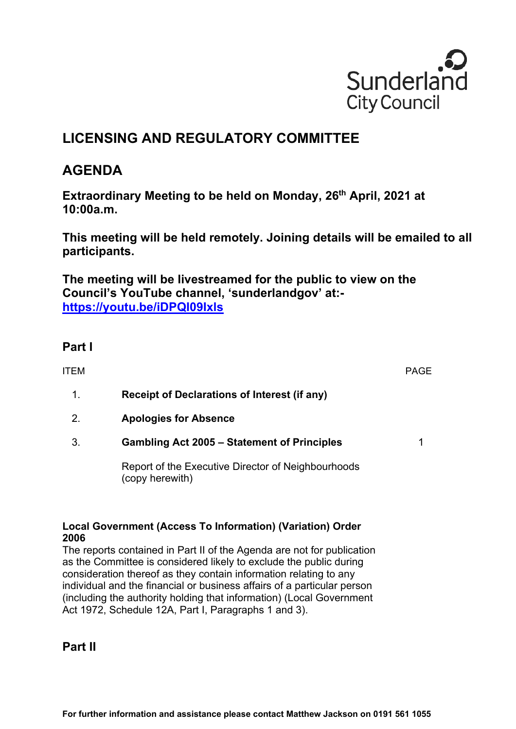

# **LICENSING AND REGULATORY COMMITTEE**

## **AGENDA**

**Extraordinary Meeting to be held on Monday, 26<sup>th</sup> April, 2021 at 10:00a.m.**

**This meeting will be held remotely. Joining details will be emailed to all participants.** 

**The meeting will be livestreamed for the public to view on the Council's YouTube channel, 'sunderlandgov' at: https://youtu.be/iDPQI09Ixls** 

### **Part I**

| ITEM |                                                                       | PAGE |
|------|-----------------------------------------------------------------------|------|
| 1.   | <b>Receipt of Declarations of Interest (if any)</b>                   |      |
| 2.   | <b>Apologies for Absence</b>                                          |      |
| 3.   | <b>Gambling Act 2005 – Statement of Principles</b>                    |      |
|      | Report of the Executive Director of Neighbourhoods<br>(copy herewith) |      |
|      | Local Government (Access To Information) (Variation) Order            |      |

#### **Local Government (Access To Information) (Variation) Order 2006**

The reports contained in Part II of the Agenda are not for publication as the Committee is considered likely to exclude the public during consideration thereof as they contain information relating to any individual and the financial or business affairs of a particular person (including the authority holding that information) (Local Government Act 1972, Schedule 12A, Part I, Paragraphs 1 and 3).

#### **Part II**